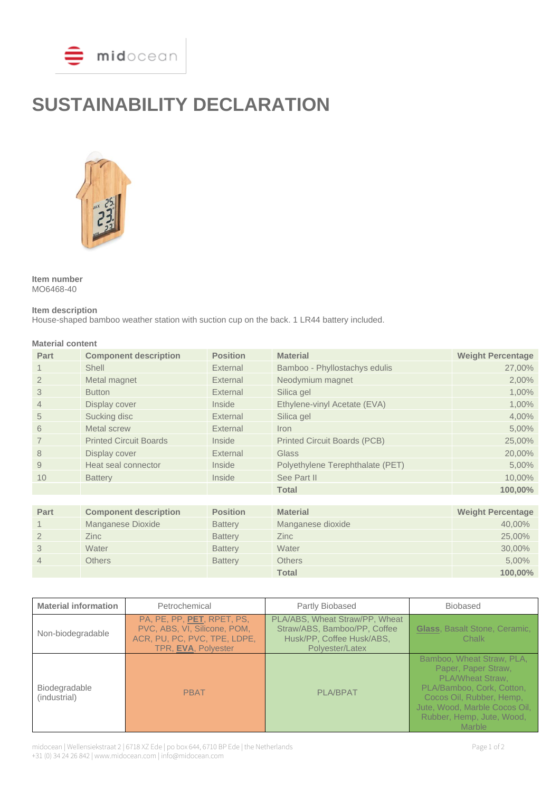

# **SUSTAINABILITY DECLARATION**



**Item number** MO6468-40

## **Item description**

House-shaped bamboo weather station with suction cup on the back. 1 LR44 battery included.

| <b>Material content</b> |                               |                 |                                     |                          |
|-------------------------|-------------------------------|-----------------|-------------------------------------|--------------------------|
| Part                    | <b>Component description</b>  | <b>Position</b> | <b>Material</b>                     | <b>Weight Percentage</b> |
|                         | Shell                         | External        | Bamboo - Phyllostachys edulis       | 27,00%                   |
| $\overline{2}$          | Metal magnet                  | External        | Neodymium magnet                    | 2,00%                    |
| 3                       | <b>Button</b>                 | External        | Silica gel                          | 1,00%                    |
| 4                       | Display cover                 | Inside          | Ethylene-vinyl Acetate (EVA)        | 1,00%                    |
| 5                       | Sucking disc                  | External        | Silica gel                          | 4,00%                    |
| 6                       | <b>Metal screw</b>            | External        | Iron                                | 5,00%                    |
| 7                       | <b>Printed Circuit Boards</b> | Inside          | <b>Printed Circuit Boards (PCB)</b> | 25,00%                   |
| 8                       | Display cover                 | External        | Glass                               | 20,00%                   |
| 9                       | Heat seal connector           | Inside          | Polyethylene Terephthalate (PET)    | 5,00%                    |
| 10                      | <b>Battery</b>                | Inside          | See Part II                         | 10,00%                   |
|                         |                               |                 | <b>Total</b>                        | 100,00%                  |
|                         |                               |                 |                                     |                          |
| Part                    | <b>Component description</b>  | <b>Position</b> | <b>Material</b>                     | <b>Weight Percentage</b> |
|                         | Manganese Dioxide             | <b>Battery</b>  | Manganese dioxide                   | 40,00%                   |
| $\overline{2}$          | <b>Zinc</b>                   | <b>Battery</b>  | <b>Zinc</b>                         | 25,00%                   |
| 3                       | Water                         | <b>Battery</b>  | Water                               | 30,00%                   |
| 4                       | <b>Others</b>                 | <b>Battery</b>  | <b>Others</b>                       | 5,00%                    |
|                         |                               |                 | <b>Total</b>                        | 100,00%                  |

| <b>Material information</b>   | Petrochemical                                                                                                     | Partly Biobased                                                                                                | <b>Biobased</b>                                                                                                                                                                                                     |
|-------------------------------|-------------------------------------------------------------------------------------------------------------------|----------------------------------------------------------------------------------------------------------------|---------------------------------------------------------------------------------------------------------------------------------------------------------------------------------------------------------------------|
| Non-biodegradable             | PA, PE, PP, PET, RPET, PS,<br>PVC, ABS, VI, Silicone, POM,<br>ACR, PU, PC, PVC, TPE, LDPE,<br>TPR, EVA, Polyester | PLA/ABS, Wheat Straw/PP, Wheat<br>Straw/ABS, Bamboo/PP, Coffee<br>Husk/PP, Coffee Husk/ABS,<br>Polyester/Latex | <b>Glass, Basalt Stone, Ceramic,</b><br>Chalk                                                                                                                                                                       |
| Biodegradable<br>(industrial) | <b>PBAT</b>                                                                                                       | <b>PLA/BPAT</b>                                                                                                | Bamboo, Wheat Straw, PLA,<br>Paper, Paper Straw,<br><b>PLA/Wheat Straw.</b><br>PLA/Bamboo, Cork, Cotton,<br>Cocos Oil, Rubber, Hemp,<br>Jute, Wood, Marble Cocos Oil,<br>Rubber, Hemp, Jute, Wood,<br><b>Marble</b> |

midocean | Wellensiekstraat 2 | 6718 XZ Ede | po box 644, 6710 BP Ede | the Netherlands Page 1 of 2 +31 (0) 34 24 26 842 | www.midocean.com | info@midocean.com